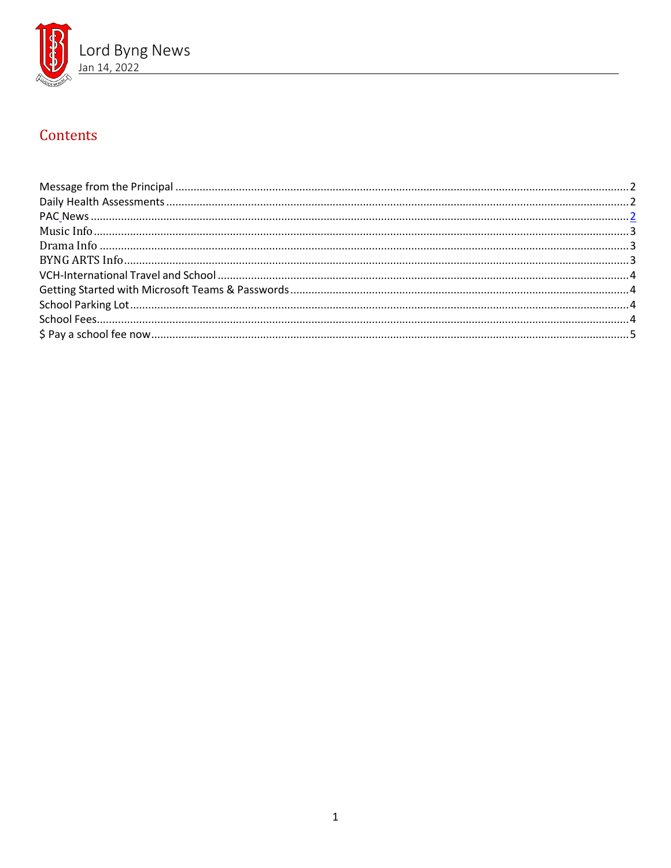

# Contents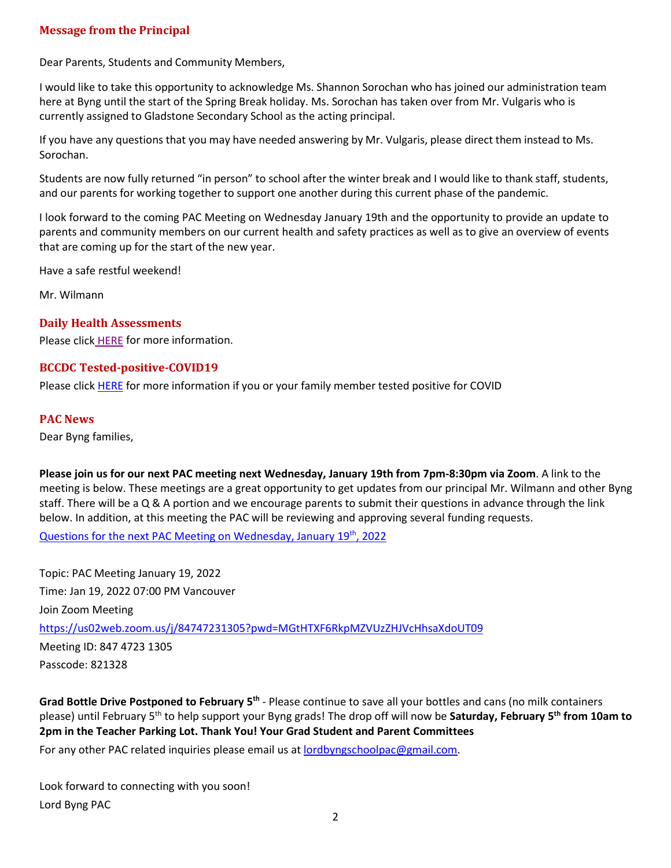## <span id="page-1-0"></span>**Message from the Principal**

Dear Parents, Students and Community Members,

I would like to take this opportunity to acknowledge Ms. Shannon Sorochan who has joined our administration team here at Byng until the start of the Spring Break holiday. Ms. Sorochan has taken over from Mr. Vulgaris who is currently assigned to Gladstone Secondary School as the acting principal.

If you have any questions that you may have needed answering by Mr. Vulgaris, please direct them instead to Ms. Sorochan.

Students are now fully returned "in person" to school after the winter break and I would like to thank staff, students, and our parents for working together to support one another during this current phase of the pandemic.

I look forward to the coming PAC Meeting on Wednesday January 19th and the opportunity to provide an update to parents and community members on our current health and safety practices as well as to give an overview of events that are coming up for the start of the new year.

Have a safe restful weekend!

Mr. Wilmann

# <span id="page-1-1"></span>**Daily Health Assessments**

Please click [HERE](https://www.vsb.bc.ca/schools/lord-byng/About-Us/news/_layouts/15/ci/post.aspx?oaid=83358e43-c83d-4c0a-9e7a-27234982de44&oact=20001) for more information.

## **BCCDC Tested-positive-COVID19**

Please click [HERE](https://www.vsb.bc.ca/schools/lord-byng/About-Us/Publications/Documents/sbfile/220114/BCCDC%20Tested-positive-COVID19.pdf) for more information if you or your family member tested positive for COVID

#### **PAC News**

Dear Byng families,

**Please join us for our next PAC meeting next Wednesday, January 19th from 7pm-8:30pm via Zoom**. A link to the meeting is below. These meetings are a great opportunity to get updates from our principal Mr. Wilmann and other Byng staff. There will be a Q & A portion and we encourage parents to submit their questions in advance through the link below. In addition, at this meeting the PAC will be reviewing and approving several funding requests.

[Questions for the next PAC Meeting on Wednesday, January 19th, 2022](https://docs.google.com/forms/d/e/1FAIpQLSe4SmByeykBKhBSKjPaBri7h_51qD75B-XZx0zR14x7xhBpWw/viewform)

Topic: PAC Meeting January 19, 2022 Time: Jan 19, 2022 07:00 PM Vancouver Join Zoom Meeting <https://us02web.zoom.us/j/84747231305?pwd=MGtHTXF6RkpMZVUzZHJVcHhsaXdoUT09> Meeting ID: 847 4723 1305 Passcode: 821328

**Grad Bottle Drive Postponed to February 5th** - Please continue to save all your bottles and cans (no milk containers please) until February 5th to help support your Byng grads! The drop off will now be **Saturday, February 5th from 10am to 2pm in the Teacher Parking Lot. Thank You! Your Grad Student and Parent Committees**

For any other PAC related inquiries please email us at [lordbyngschoolpac@gmail.com.](mailto:lordbyngschoolpac@gmail.com)

Look forward to connecting with you soon! Lord Byng PAC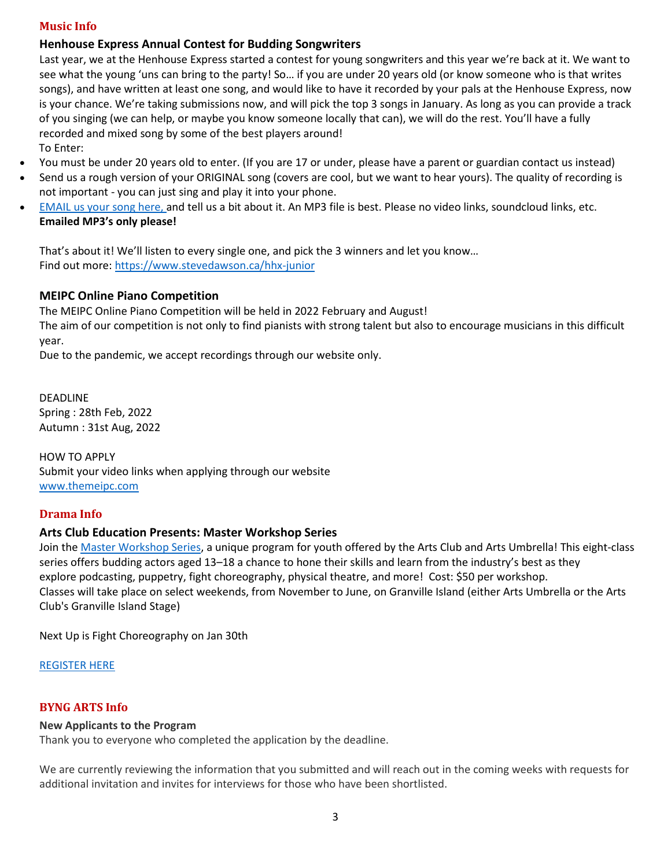#### <span id="page-2-0"></span>**Music Info**

### **Henhouse Express Annual Contest for Budding Songwriters**

Last year, we at the Henhouse Express started a contest for young songwriters and this year we're back at it. We want to see what the young 'uns can bring to the party! So… if you are under 20 years old (or know someone who is that writes songs), and have written at least one song, and would like to have it recorded by your pals at the Henhouse Express, now is your chance. We're taking submissions now, and will pick the top 3 songs in January. As long as you can provide a track of you singing (we can help, or maybe you know someone locally that can), we will do the rest. You'll have a fully recorded and mixed song by some of the best players around! To Enter:

- You must be under 20 years old to enter. (If you are 17 or under, please have a parent or guardian contact us instead)
- Send us a rough version of your ORIGINAL song (covers are cool, but we want to hear yours). The quality of recording is not important - you can just sing and play it into your phone.
- [EMAIL](mailto:steve@thehenhousestudio.com?subject=Henhouse%20Express%20Junior%20Contest) us your song here, and tell us a bit about it. An MP3 file is best. Please no video links, soundcloud links, etc. **Emailed MP3's only please!**

That's about it! We'll listen to every single one, and pick the 3 winners and let you know… Find out more: <https://www.stevedawson.ca/hhx-junior>

## **MEIPC Online Piano Competition**

The MEIPC Online Piano Competition will be held in 2022 February and August! The aim of our competition is not only to find pianists with strong talent but also to encourage musicians in this difficult year.

Due to the pandemic, we accept recordings through our website only.

DEADLINE Spring : 28th Feb, 2022 Autumn : 31st Aug, 2022

HOW TO APPLY Submit your video links when applying through our website [www.themeipc.com](http://www.themeipc.com/)

## <span id="page-2-1"></span>**Drama Info**

## **Arts Club Education Presents: Master Workshop Series**

Join the Master [Workshop](https://ca.apm.activecommunities.com/artsumbrella/Activity_Search?txtActivitySearch=Master%20Workshop%20Series&applyFiltersDefaultValue=true&cat=Classes) Series, a unique program for youth offered by the Arts Club and Arts Umbrella! This eight-class series offers budding actors aged 13–18 a chance to hone their skills and learn from the industry's best as they explore podcasting, puppetry, fight choreography, physical theatre, and more! Cost: \$50 per workshop. Classes will take place on select weekends, from November to June, on Granville Island (either Arts Umbrella or the Arts Club's Granville Island Stage)

Next Up is Fight Choreography on Jan 30th

#### [REGISTER](https://ca.apm.activecommunities.com/artsumbrella/Activity_Search?txtActivitySearch=Master%20Workshop%20Series&applyFiltersDefaultValue=true&cat=Classes) HERE

#### <span id="page-2-2"></span>**BYNG ARTS Info**

#### **New Applicants to the Program**

Thank you to everyone who completed the application by the deadline.

We are currently reviewing the information that you submitted and will reach out in the coming weeks with requests for additional invitation and invites for interviews for those who have been shortlisted.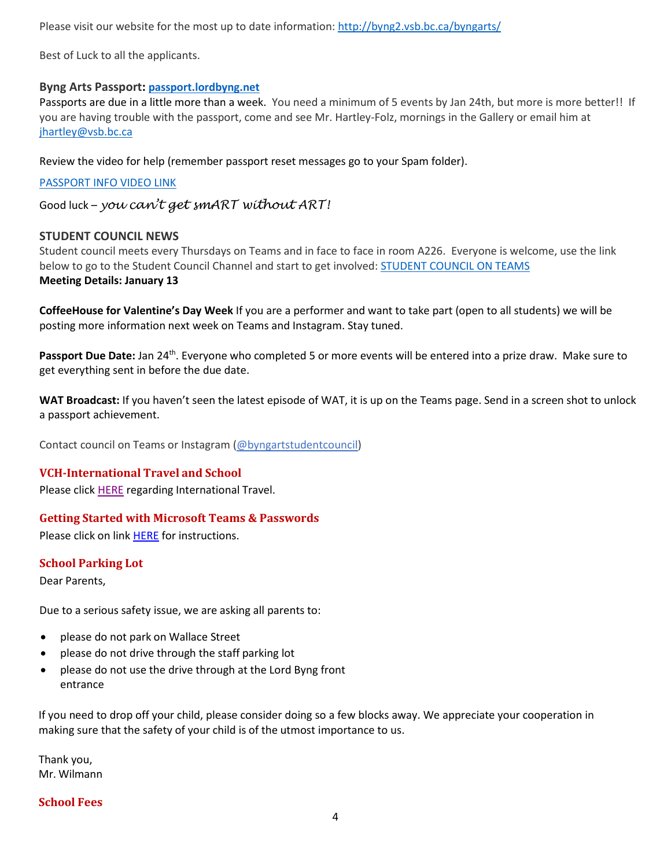Please visit our website for the most up to date information: <http://byng2.vsb.bc.ca/byngarts/>

Best of Luck to all the applicants.

#### **Byng Arts Passport: [passport.lordbyng.net](http://passport.lordbyng.net/)**

Passports are due in a little more than a week. You need a minimum of 5 events by Jan 24th, but more is more better!! If you are having trouble with the passport, come and see Mr. Hartley-Folz, mornings in the Gallery or email him at [jhartley@vsb.bc.ca](mailto:jhartley@vsb.bc.ca)

Review the video for help (remember passport reset messages go to your Spam folder).

#### [PASSPORT INFO VIDEO LINK](https://youtu.be/5SbZN64oDac)

Good luck – *you can't get smART without ART!*

#### **STUDENT COUNCIL NEWS**

Student council meets every Thursdays on Teams and in face to face in room A226. Everyone is welcome, use the link below to go to the Student Council Channel and start to get involved: [STUDENT](https://teams.microsoft.com/l/channel/19%3a23116d8f7c5446fd8b43fbca0cdece3a%40thread.tacv2/Student%2520Council%2520Channel?groupId=0f991a6a-610f-435e-92af-4cad2f2e7c25&tenantId=0b8a2e58-7b30-4a08-bab7-d75559e0e3a5) COUNCIL ON TEAMS **Meeting Details: January 13**

**CoffeeHouse for Valentine's Day Week** If you are a performer and want to take part (open to all students) we will be posting more information next week on Teams and Instagram. Stay tuned.

Passport Due Date: Jan 24<sup>th</sup>. Everyone who completed 5 or more events will be entered into a prize draw. Make sure to get everything sent in before the due date.

**WAT Broadcast:** If you haven't seen the latest episode of WAT, it is up on the Teams page. Send in a screen shot to unlock a passport achievement.

Contact council on Teams or Instagram [\(@byngartstudentcouncil\)](https://www.instagram.com/byngartstudentcouncil/?hl=en)

#### <span id="page-3-0"></span>**VCH-International Travel and School**

Please click [HERE](https://www.vsb.bc.ca/schools/lord-byng/About-Us/Publications/Documents/International%20Travel%20and%20School_VSB.pdf) regarding International Travel.

#### <span id="page-3-1"></span>**Getting Started with Microsoft Teams & Passwords**

Please click on link **HERE** for instructions.

#### <span id="page-3-2"></span>**School Parking Lot**

Dear Parents,

Due to a serious safety issue, we are asking all parents to:

- please do not park on Wallace Street
- please do not drive through the staff parking lot
- please do not use the drive through at the Lord Byng front entrance

[If you need to drop off y](https://vsb.schoolcashonline.com/)our child, please consider doing so a few blocks away. We appreciate your cooperation in making sure that the safety of your child is of the utmost [importance](https://www.vsb.bc.ca/Student_Support/General_Resources/school-fees/Pages/OnlinePayment.aspx) to us.

[Thank you,](https://www.vsb.bc.ca/_layouts/vsbwww/arch/default/files/KEV-Translations/Chinese.pdf) Mr. Wilmann

#### <span id="page-3-3"></span>**School Fees**